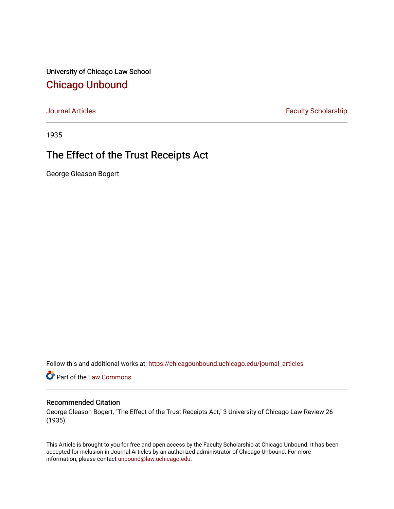University of Chicago Law School [Chicago Unbound](https://chicagounbound.uchicago.edu/)

[Journal Articles](https://chicagounbound.uchicago.edu/journal_articles) **Faculty Scholarship Faculty Scholarship** 

1935

# The Effect of the Trust Receipts Act

George Gleason Bogert

Follow this and additional works at: [https://chicagounbound.uchicago.edu/journal\\_articles](https://chicagounbound.uchicago.edu/journal_articles?utm_source=chicagounbound.uchicago.edu%2Fjournal_articles%2F9461&utm_medium=PDF&utm_campaign=PDFCoverPages) 

Part of the [Law Commons](http://network.bepress.com/hgg/discipline/578?utm_source=chicagounbound.uchicago.edu%2Fjournal_articles%2F9461&utm_medium=PDF&utm_campaign=PDFCoverPages)

# Recommended Citation

George Gleason Bogert, "The Effect of the Trust Receipts Act," 3 University of Chicago Law Review 26 (1935).

This Article is brought to you for free and open access by the Faculty Scholarship at Chicago Unbound. It has been accepted for inclusion in Journal Articles by an authorized administrator of Chicago Unbound. For more information, please contact [unbound@law.uchicago.edu](mailto:unbound@law.uchicago.edu).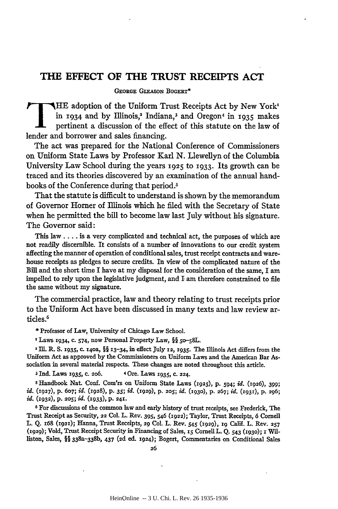# **THE EFFECT OF THE TRUST RECEIPTS ACT**

GEORGE GLEASON BOGERT\*

**T HE** adoption of the Uniform Trust Receipts Act by New York' in 1934 and by Illinois,<sup>2</sup> Indiana,<sup>3</sup> and Oregon<sup>4</sup> in 1935 makes pertinent a discussion of the effect of this statute on the law of lender and borrower and sales financing.

The act was prepared for the National Conference of Commissioners on Uniform State Laws by Professor Karl N. Llewellyn of the Columbia University Law School during the years 1925 to 1933. Its growth can be traced and its theories discovered by an examination of the annual handbooks of the Conference during that period.5

That the statute is difficult to understand is shown by the memorandum of Governor Homer of Illinois which he filed with the Secretary of State when he permitted the bill to become law last July without his signature. The Governor said:

This law **....** is a very complicated and technical act, the purposes of which are not readily discernible. It consists of a number of innovations to our credit system affecting the manner of operation of conditional sales, trust receipt contracts and warehouse receipts as pledges to secure credits. In view of the complicated nature of the Bill and the short time I have at my disposal for the consideration of the same, I am impelled to rely upon the legislative judgment, and I am therefore constrained to file the same without my signature.

The commercial practice, law and theory relating to trust receipts prior to the Uniform Act have been discussed in many texts and law review articles.<sup>6</sup>

**\*** Professor of Law, University of Chicago Law School.

<sup>I</sup> Laws 1934, c. 574, now Personal Property Law, §§ 50-58L.

<sup>2</sup>**Ill.** *R.* **S. i935,** c. i4oa, §§ **13-34,** in effect July **12, 1935.** The Illinois Act differs from the Uniform Act as approved **by** the Commissioners on Uniform Laws and the American Bar Association in several material respects. These changes are noted throughout this article.

**3** Ind. Laws **1935, C. 206.** 4 Ore. Laws 1935, **c. 224.**

**<sup>5</sup>**Handbook Nat. **Conf.** Com'rs on Uniform State Laws **(1925), p.** 594; *id.* **(1926), 399;** *id.* **(1927),** p. **607;** *id.* **(1928),** p. *35; id.* **(1929), p. 205;** *id.* **(1930), p. 267;** *id.* **(1931), p. 296;** *id.* **(1932), p. 205;** *id.* **(i933), p. 241.**

**6 For** discussions of the common law and early history of trust receipts, see Frederick, The Trust Receipt as Security, **22** Col. L. Rev. **395,** 546 **(1922);** Taylor, Trust Receipts, **6** Cornell L. **Q. x68 (1921);** Hanna, Trust Receipts, **29** Col. L. Rev. **545 (1929), x9** Calif. L. Rev. **257 (1929);** Vold, Trust Receipt Security in Financing of Sales, **iS** Cornell L. **Q. 543 (1930);** 1 Williston, Sales, §§ 338a-338b, 437 **(2d** ed. **1924);** Bogert, Commentaries on Conditional Sales

**26**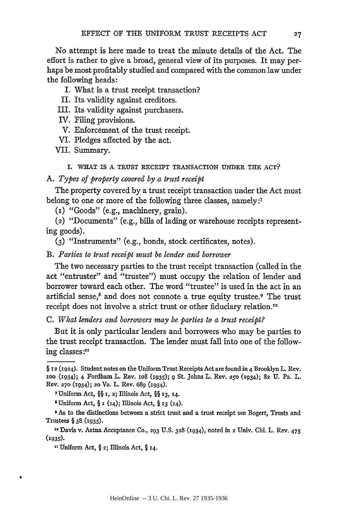No attempt is here made to treat the minute details of the Act. The effort is rather to give a broad, general view of its purposes. It may perhaps be most profitably studied and compared with the common law under the following heads:

- I. What is a trust receipt transaction?
- II. Its validity against creditors.
- III. Its validity against purchasers.
- IV. Filing provisions.
- V. Enforcement of the trust receipt.
- VI. Pledges affected by the act.

VII. Summary.

#### **I.** WHAT IS **A** TRUST RECEIPT TRANSACTION **UINDER** THE **ACT?**

#### *A. Types of property covered by a trust receipt*

The property covered by a trust receipt transaction under the Act must belong to one or more of the following three classes, namely:7

(I) "Goods" (e.g., machinery, grain).

(2) "Documents" (e.g., bills of lading or warehouse receipts representing goods).

**(3)** "Instruments" (e.g., bonds, stock certificates, notes).

*B. Parties to trust receipt must be lender and borrower*

The two necessary parties to the trust receipt transaction (called in the act "entruster" and "trustee") must occupy the relation of lender and borrower toward each other. The word "trustee" is used in the act in an artificial sense,<sup>8</sup> and does not connote a true equity trustee.<sup>9</sup> The trust receipt does not involve a strict trust or other fiduciary relation."°

*C. What lenders and borrowers may be parties to a trust receipt?*

But it is only particular lenders and borrowers who may be parties to the trust receipt transaction. The lender must fall into one of the following classes:"'

xxUniform Act, **§** 2; Illinois Act, **§ 14.**

<sup>§</sup> **12** (1924). Student notes on the Uniform Trust Receipts Act are found in 4 Brooklyn L. Rev. **100** (1934); 4 Fordham L. Rev. io8 (i935); **9** St. Johns L. Rev. **250** (i934); **82** U. Pa. L. Rev. **270** (i934); 2o Va. L. Rev. **689** (1934).

**<sup>7</sup>** Uniform Act, **§§ i,** 2; Illinois Act, **§ 13, 14.**

<sup>\*</sup>Uniform Act, §r **(i4);** Illinois Act, § **13** (14).

**<sup>9</sup>** As to the distinctions between a strict trust and a trust receipt see Bogert, Trusts and Trustees § 38 (1935).

**<sup>-0</sup>** Davis v. Aetna Acceptance Co., **293** U.S. **328** (934), noted in 2 Univ. Chi. L. Rev. 475 **U2935).**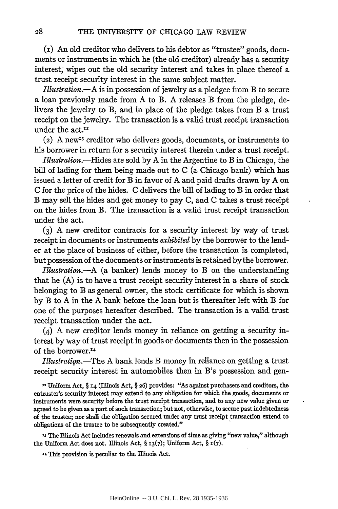(i) An old creditor who delivers to his debtor as "trustee" goods, documents or instruments in which he (the old creditor) already has a security interest, wipes out the old security interest and takes in place thereof a trust receipt security interest in the same subject matter.

*Illustration.-A* is in possession of jewelry as a pledgee from B to secure a loan previously made from A to B. A releases B from the pledge, delivers the jewelry to B, and in place of the pledge takes from B a trust receipt on the jewelry. The transaction is a valid trust receipt transaction under the  $act.^{12}$ 

 $(2)$  A new<sup>13</sup> creditor who delivers goods, documents, or instruments to his borrower in return for a security interest therein under a trust receipt.

*Illustratio.-Iides* are sold by A in the Argentine to B in Chicago, the bill of lading for them being made out to C (a Chicago bank) which has issued a letter of credit for B in favor of **A** and paid drafts drawn by **A** on C for the price of the hides. C delivers the bill of lading to B in order that B may sell the hides and get money to pay C, and C takes a trust receipt on the hides from B. The transaction is a valid trust receipt transaction under the act.

**(3) A** new creditor contracts for a security interest by way of trust receipt in documents or instruments *exhibited* by the borrower to the lender at the place of business of either, before the transaction is completed, but possession of the documents or instruments is retained by the borrower.

*Illustration.-A* (a banker) lends money to B on the understanding that he (A) is to have a trust receipt security interest in a share of stock belonging to B as general owner, the stock certificate for which is shown by B to A in the A bank before the loan but is thereafter left with B for one of the purposes hereafter described. The transaction is a valid trust receipt transaction under the act.

(4) A new creditor lends money in reliance on getting a security interest by way of trust receipt in goods or documents then in the possession of the borrower.<sup>14</sup>

*Illustration.-The* A bank lends B money in reliance on getting a trust receipt security interest in automobiles then in B's possession and gen-

12 Uniform Act, § 14 (Illinois Act, § **26)** provides: "As against purchasers and creditors, the entruster's security interest may extend to any obligation for which the goods, documents or instruments were security before the trust receipt transaction, and to any new value given or agreed to be given as a part of such transaction; but not, otherwise, to secure past indebtedness of the trustee; nor shall the obligation secured under any trust receipt transaction extend to obligations of the trustee to be subsequently created."

 $\ddot{\phantom{0}}$ 

**'3** The Illinois Act includes renewals and extensions of time as giving "new value," although the Uniform Act does not. Illinois Act,  $\S$  13(7); Uniform Act,  $\S$  1(7).

14 This provision is peculiar to the Illinois Act.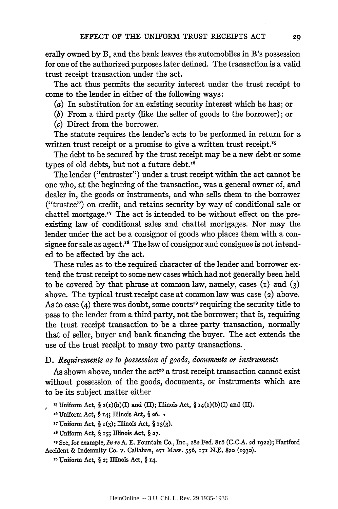erally owned by B, and the bank leaves the automobiles in B's possession for one of the authorized purposes later defined. The transaction is a valid trust receipt transaction under the act.

The act thus permits the security interest under the trust receipt to come to the lender in either of the following ways:

(a) In substitution for an existing security interest which he has; or

*(b)* From a third party (like the seller of goods to the borrower); or

(c) Direct from the borrower.

The statute requires the lender's acts to be performed in return for a written trust receipt or a promise to give a written trust receipt.<sup>15</sup>

The debt to be secured by the trust receipt may be a new debt or some types of old debts, but not a future debt.<sup>16</sup>

The lender ("entruster") under a trust receipt within the act cannot be one who, at the beginning of the transaction, was a general owner of, and dealer in, the goods or instruments, and who sells them to the borrower ("trustee") on credit, and retains security by way of conditional sale or chattel mortgage. $\mathbf{r}$  The act is intended to be without effect on the preexisting law of conditional sales and chattel mortgages. Nor may the lender under the act be a consignor of goods who places them with a consignee for sale as agent.<sup>18</sup> The law of consignor and consignee is not intended to be affected by the act.

These rules as to the required character of the lender and borrower extend the trust receipt to some new cases which had not generally been held to be covered by that phrase at common law, namely, cases (i) and **(3)** above. The typical trust receipt case at common law was case (2) above. As to case  $(4)$  there was doubt, some courts<sup>19</sup> requiring the security title to pass to the lender from a third party, not the borrower; that is, requiring the trust receipt transaction to be a three party transaction, normally that of seller, buyer and bank financing the buyer. The act extends the use of the trust receipt to many two party transactions.

## *D. Requirements as to possession of goods, documents or instruments*

As shown above, under the act<sup>20</sup> a trust receipt transaction cannot exist without possession of the goods, documents, or instruments which are to be its subject matter either

<sup>15</sup> Uniform Act,  $\S$   $2(I)(b)(I)$  and  $(II)$ ; Illinois Act,  $\S$   $14(I)(b)(I)$  and  $(II)$ .

' 6Uniform Act, § **14;** Illinois Act, § **26.** t

**'7** Uniform Act, § **1(3);** Illinois Act, § **z3(3).**

**Z** Uniform Act, § **i;** Illinois Act, § **27.**

**"g** See, for example, *In re* A. E. Fountain Co., Inc., 282 Fed. **816** (C.C.A. **2d** 1922); Hartford Accident & Indemnity Co. v. Callahan, **271** Mass. *556, 171* **N., 82o** (i93o).

**2o** Uniform Act, § 2; Illinois Act, § **14.**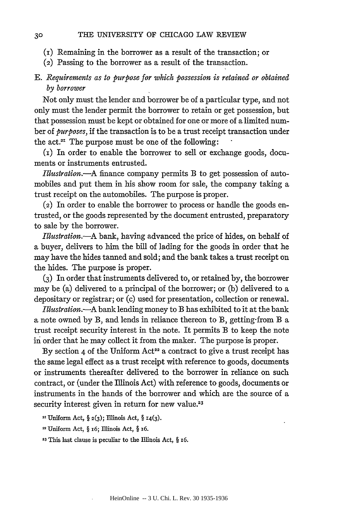- (i) Remaining in the borrower as a result of the transaction; or
- (2) Passing to the borrower as a result of the transaction.

# *E. Requirements as to purpose for which possession is retained or obtained by borrower*

Not only must the lender and borrower be of a particular type, and not only must the lender permit the borrower to retain or get possession, but that possession must be kept or obtained for one or more of a limited number of *purposes,* if the transaction is to be a trust receipt transaction under the act. $2I$  The purpose must be one of the following:

(i) In order to enable the borrower to sell or exchange goods, documents or instruments entrusted.

*Illustratio.-A* finance company permits B to get possession of automobiles and put them in his show room for sale, the company taking a trust receipt on the automobiles. The purpose is proper.

(2) In order to enable the borrower to process or handle the goods entrusted, or the goods represented **by** the document entrusted, preparatory to sale **by** the borrower.

*Ilustration.-A* bank, having advanced the price of hides, on behalf of a buyer, delivers to him the bill of lading for the goods in order that he may have the hides tanned and sold; and the bank takes a trust receipt on the hides. The purpose is proper.

**(3)** In order that instruments delivered to, or retained **by,** the borrower may be (a) delivered to a principal of the borrower; or (b) delivered to a depositary or registrar; or (c) used for presentation, collection or renewal.

*Illustration.-A* bank lending money to B has exhibited to it at the bank a note owned **by** B, and lends in reliance thereon to B, getting-from B a trust receipt security interest in the note. It permits B to keep the note in order that he may collect it from the maker. The purpose is proper.

By section 4 of the Uniform Act<sup>22</sup> a contract to give a trust receipt has the same legal effect as a trust receipt with reference to goods, documents or instruments thereafter delivered to the borrower in reliance on such contract, or (under the Illinois Act) with reference to goods, documents or instruments in the hands of the borrower and which are the source of a security interest given in return for new value.<sup>23</sup>

21 Uniform Act, § **2(3);** Illinois Act, § 14(3).

**-** Uniform Act, § i6; Illinois Act, § **16.**

**2"** This last clause is peculiar to the Illinois Act, § *i6.*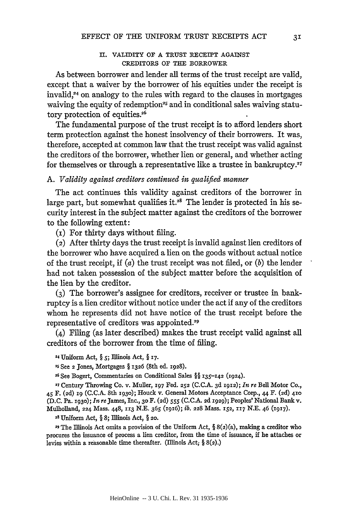#### **II.** VALIDITY OF **A** TRUST RECEIPT AGAINST CREDITORS OF **THE** BORROWER

As between borrower and lender all terms of the trust receipt are valid, except that a waiver **by** the borrower of his equities under the receipt is invalid,<sup>24</sup> on analogy to the rules with regard to the clauses in mortgages waiving the equity of redemption<sup>25</sup> and in conditional sales waiving statutory protection of **equities.26**

The fundamental purpose of the trust receipt is to afford lenders short term protection against the honest insolvency of their borrowers. It was, therefore, accepted at common law that the trust receipt was valid against the creditors of the borrower, whether lien or general, and whether acting for themselves or through a representative like a trustee in bankruptcy. $27$ 

# *A. Validity against creditors continued in qualified manner*

The act continues this validity against creditors of the borrower in large part, but somewhat qualifies it.<sup>28</sup> The lender is protected in his security interest in the subject matter against the creditors of the borrower to the following extent:

**(I)** For thirty days without filing.

**(2)** After thirty days the trust receipt is invalid against lien creditors of the borrower who have acquired a lien on the goods without actual notice of the trust receipt, if (a) the trust receipt was not filed, or *(b)* the lender had not taken possession of the subject matter before the acquisition of the lien **by** the creditor.

**(3)** The borrower's assignee for creditors, receiver or trustee in bankruptcy is a lien creditor without notice under the act if any of the creditors whom he represents did not have notice of the trust receipt before the representative of creditors was **appointed.29**

(4) Filing (as later described) makes the trust receipt valid against **all** creditors of the borrower from the time of filing.

24Uniform Act, **§** *5;* Illinois Act, **§ 17.**

**25** See **2** Jones, Mortgages **§ 1326** (8th ed. **1928).**

**26 See** Bogert, Commentaries on Conditional Sales **§§ 135-142 (1924).**

**<sup>27</sup>**Century Throwing Co. v. Muller, **197** Fed. **252 (C.C.A. 3d 1912);** *In re* Bell Motor Co., 45 F. **(2d) 19 (C.C.A.** 8th **1930);** Houck v. General Motors Acceptance Corp., **44** F. **(2d) 410 (D.C.** Pa. **1930);** *In re* James, Inc., **30** F. **(2d)** *555* **(C.C.A. 2d 1929);** Peoples' National Bank v. Mulholland, **224** Mass. **448, 113 N.E. 365 (1916);** *ib.* **228** Mass. **152, 117 N.E.** 46 **(1917).**

**<sup>28</sup>**Uniform Act, **§ 8;** Illinois Act, **§ 20.**

**29 The** Illinois Act omits a provision of the Uniform Act, **§** 8(2)(a), making a creditor who procures the issuance of process a lien creditor, from the time of issuance, **if** he attaches or levies within a reasonable time thereafter. (Illinois Act; **§ 8(2).)**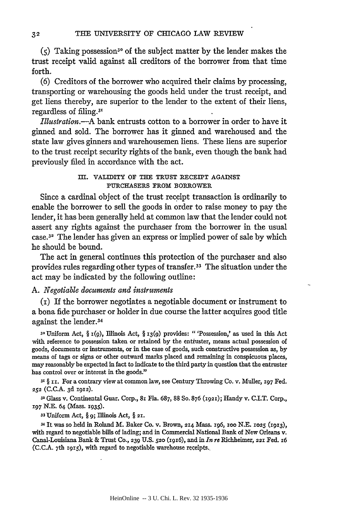$(5)$  Taking possession<sup>30</sup> of the subject matter by the lender makes the trust receipt valid against all creditors of the borrower from that time forth.

(6) Creditors of the borrower who acquired their claims by processing, transporting or warehousing the goods held under the trust receipt, and get liens thereby, are superior to the lender to the extent of their liens, regardless of filing.<sup>31</sup>

*Illustration.-A* bank entrusts cotton to a borrower in order to have it ginned and sold. The borrower has it ginned and warehoused and the state law gives ginners and warehousemen liens. These liens are superior to the trust receipt security rights of the bank, even though the bank had previously filed in accordance with the act.

> Ill. VALIDITY **OF THE TRUST** RECEIPT AGAINST **PURCHASERS FROM BORROWER**

Since a cardinal object of the trust receipt transaction is ordinarily to enable the borrower to sell the goods in order to raise money to pay the lender, it has been generally held at common law that the lender could not assert any rights against the purchaser from the borrower in the usual case.<sup>32</sup> The lender has given an express or implied power of sale by which he should be bound.

The act in general continues this protection of the purchaser and also provides rules regarding other types of transfer.<sup>33</sup> The situation under the act may be indicated by the following outline:

# *A. Negotiable documents and instruments*

(i) If the borrower negotiates a negotiable document or instrument to a bona fide purchaser or holder in due course the latter acquires good title against the lender.<sup>34</sup>

**<sup>30</sup>**Uniform Act, § **1(9),** Illinois Act, § **13(9)** provides: "'Possession,' as used in this Act with reference to possession taken or retained by the entiuster, means actual possession of goods, documents or instruments, or **in.** the case of goods, such constructive possession as, by means of tags or signs or other outward marks placed and remaining in conspicuous places, may reasonably be expected in fact to indicate to the third party in question that the entruster has control over or interest in the goods."

**31 § ixi.** For a contrary view at common law, see Century Throwing Co. v. Muller, **197** Fed. **252** (C.C.A. 3d 1912).

**<sup>32</sup>**Glass v. Continental Guar. Corp., **81** Fla. 687, 88 So. 876 **(1921);** Handy v. C.I.T. Corp., **197** N.E. 64 (Mass. 1935).

**<sup>33</sup>**Uniform Act, § **9;** Illinois Act, § **21.**

34 It was so held in Roland M. Baker Co. v. Brown, **214** Mass. 196, zoo N.E. **1025 (I913),** with regard to negotiable bills of lading; and in Commercial National Bank of New Orleans v. Canal-Louisiana Bank & Trust Co., 239 U.S. **520** (1916), and in *In re* Richheimer, **221** Fed. **16 (C.C.A.** <sup>7</sup> th **I915),** with regard to negotiable warehouse receipts.,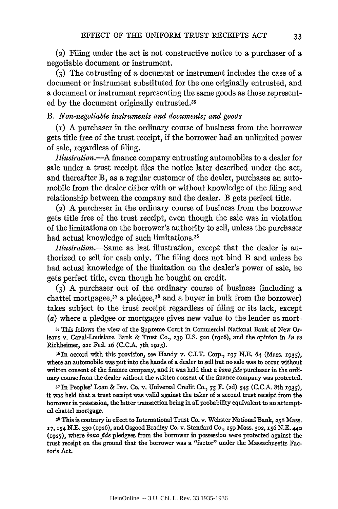(2) Filing under the act is not constructive notice to a purchaser of a negotiable document or instrument.

**(3)** The entrusting of a document or instrument includes the case of a document or instrument substituted for the one originally entrusted, and a document or instrument representing the same goods as those represented by the document originally entrusted.<sup>35</sup>

# *B. Non-negotiable instruments and documents; and goods*

(i) A purchaser in the ordinary course of business from the borrower gets title free of the trust receipt, if the borrower had an unlimited power of sale, regardless of filing.

*Illustration.-A* finance company entrusting automobiles to a dealer for sale under a trust receipt files the notice later described under the act, and thereafter B, as a regular customer of the dealer, purchases an automobile from the dealer either with or without knowledge of the filing and relationship between the company and the dealer. B gets perfect title.

(2) A purchaser in the ordinary course of business from the borrower gets title free of the trust receipt, even though the sale was in violation of the limitations on the borrower's authority to sell, unless the purchaser had actual knowledge of such limitations.<sup>36</sup>

*Illustration.-Same* as last illustration, except that the dealer is authorized to sell for cash only. The filing does not bind B and unless he had actual knowledge of the limitation on the dealer's power of sale, he gets perfect title, even though he bought on credit.

**(3)** A purchaser out of the ordinary course of business (including a chattel mortgagee, $37$  a pledgee, $38$  and a buyer in bulk from the borrower) takes subject to the trust receipt regardless of filing or its lack, except (a) where a pledgee or mortgagee gives new value to the lender as mort-

*3s* This follows the view of the supreme Court in Commercial National Bank of New Orleans v. Canal-Louisiana Bank & Trust Co., **239 U.S. 520** (i916), and the opinion in *In re* Richheimer, **221** Fed. i6 (C.C.A. 7th **1915).**

36 In accord with this provision, see Handy v. C.I.T. Corp., *197* N.E. 64 (Mass. 1935), where an automobile was put into the hands of a dealer to sell but no sale was to occur without written consent of the finance company, and it was held that a *bonafide* purchaser in the ordinary course from the dealer without the written consent of the finance company was protected.

**<sup>37</sup>**In Peoples' Loan & Inv. Co. v. Universal Credit Co., **75** F. **(2d)** 545 (C.C.A. 8th **x935),** it was held that a trust receipt was valid against the taker of a second trust receipt from the borrower in possession, the latter transaction being in all probability equivalent to an attempted chattel mortgage.

**<sup>31</sup>**This is contrary in effect to International Trust Co. v. Webster National Bank, **258** Mass. **17, 154** N.E. **330** (1926), and Osgood Bradley Co. v. Standard Co., **259** Mass. 302, 156 N.E. 44o **(1927),** where *bona fide* pledgees from the borrower in possession were protected against the trust receipt on the ground that the borrower was a "factor" under the Massachusetts Factor's Act.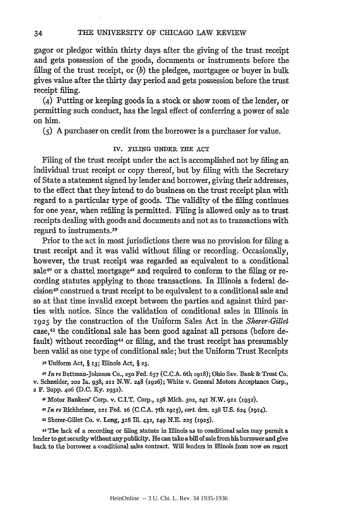gagor or pledgor within thirty days after the giving of the trust receipt and gets possession of the goods, documents or instruments before the filing of the trust receipt, or *(b)* the pledgee, mortgagee or buyer in bulk gives value after the thirty day period and gets possession before the trust receipt filing.

(4) Putting or keeping goods in a stock or show room of the lender, or permitting such conduct, has the legal effect of conferring a power of sale on him.

**(5)** A purchaser on credit from the borrower is a purchaser for value.

#### IV. FILING UNDER THE ACT

Filing of the trust receipt under the act is accomplished not by filing an individual trust receipt or copy thereof, but by filing with the Secretary of State a statement signed by lender and borrower, giving their addresses, to the effect that they intend to do business on the trust receipt plan with regard to a particular type of goods. The validity of the filing continues for one year, when refiling is permitted. Filing is allowed only as to trust receipts dealing with goods and documents and not as to transactions with regard to instruments. <sup>39</sup>

Prior to the act in most jurisdictions there was no provision for filing a trust receipt and it was valid without filing or recording. Occasionally, however, the trust receipt was regarded as equivalent to a conditional sale<sup>40</sup> or a chattel mortgage<sup>41</sup> and required to conform to the filing or recording statutes applying to those transactions. In Illinois a federal decision42 construed a trust receipt to be equivalent to a conditional sale and so at that time invalid except between the parties and against third parties with notice. Since the validation of conditional sales in Illinois in 1925 by the construction of the Uniform Sales Act in the *Sherer-Gillet* case, 43 the conditional sale has been good against all persons (before default) without recording<sup>44</sup> or filing, and the trust receipt has presumably been valid as one type of conditional sale; but the Uniform Trust Receipts

**<sup>39</sup>**Uniform Act, § **13;** Illinois Act, § **25.**

**<sup>40</sup>***In re* Bettman-Johnson Co., **250** Fed. **657** (C.C.A. 6th 1918); Ohio Say. Bank & Trust Co. v. Schneider, **202** Ia. 938, **211** N.W. **248** (1926); White v. General Motors Acceptance Corp., 2 F. Supp. **406** (D.C. Ky. **1932).**

41 Motor Bankers' Corp. v. C.I.T. Corp., **258** Mich. **302, 241** N.W. **9ii (1932).**

*4In re* Richheimer, **221** Fed. i6 (C.C.A. 7th 1915), *cert.* den. **238** U.S. **624** (114).

43 Sherer-Gillet Co. v. Long, **318** I1. 432, **149 N.E. 225** (1925).

44 The lack of a recording or filing statute in Illinois as to conditional sales may permit a lender to get security without any publicity. He can take a bill of sale from his borrower and give back to the borrower a conditional sales contract. Will lenders in Illinois from now on resort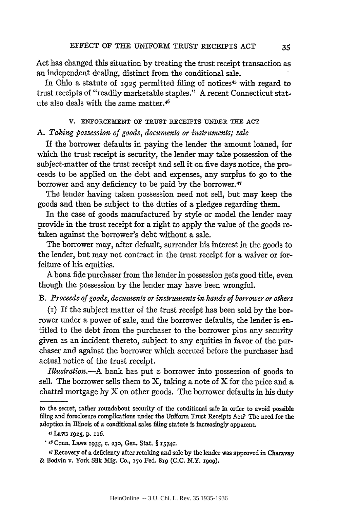Act has changed this situation by treating the trust receipt transaction as an independent dealing, distinct from the conditional sale.

In Ohio a statute of 1925 permitted filing of notices<sup>45</sup> with regard to trust receipts of "readily marketable staples." A recent Connecticut statute also deals with the same matter.46

# V. ENFORCEMENT **OF TRUST** IECEIPTS **UNDER TEE ACT** *A. Taking possession of goods, documents or instruments; sale*

If the borrower defaults in paying the lender the amount loaned, for which the trust receipt is security, the lender may take possession of the subject-matter of the trust receipt and sell it on five days notice, the proceeds to be applied on the debt and expenses, any surplus fo go to the borrower and any deficiency to be paid by the borrower.47

The lender having taken possession need not sell, but may keep the goods and then be subject to the duties of a pledgee regarding them.

In the case of goods manufactured by style or model the lender may provide in the trust receipt for a right to apply the value of the goods retaken against the borrower's debt without a sale.

The borrower may, after default, surrender his interest in the goods to the lender, but may not contract in the trust receipt for a waiver or forfeiture of his equities.

A bona fide purchaser from the lender in possession gets good title, even though the possession by the lender may have been wrongful.

## *B. Proceeds of goods, documents or instruments in hands of borrower or others*

(i) If the subject matter of the trust receipt has been sold **by** the borrower under a power of sale, and the borrower defaults, the lender is entitled to the debt from the purchaser to the borrower plus any security given as an incident thereto, subject to any equities in favor of the purchaser and against the borrower which accrued before the purchaser had actual notice of the trust receipt.

*Illustration.-A* bank has put a borrower into possession of goods to sell. The borrower sells them to  $X$ , taking a note of  $X$  for the price and a chattel mortgage by  $X$  on other goods. The borrower defaults in his duty

to the secret, rather roundabout security of the conditional sale in order to avoid possible filing and foreclosure complications under the Uniform Trust Receipts Act? The need for the adoption in Illinois of a conditional sales filing statute is increasingly apparent.

<sup>4</sup>sLaws **1925, p. xx6.**

<sup>&</sup>lt;sup>46</sup> Conn. Laws 1935, c. 230, Gen. Stat. § 1574c.

**<sup>47</sup>**Recovery of a deficiency after retaking and sale by the lender was approved in Charavay **&** Bodvin v. York Silk Mfg. Co., *170* Fed. **81g (C.C.** N.Y. rgo9).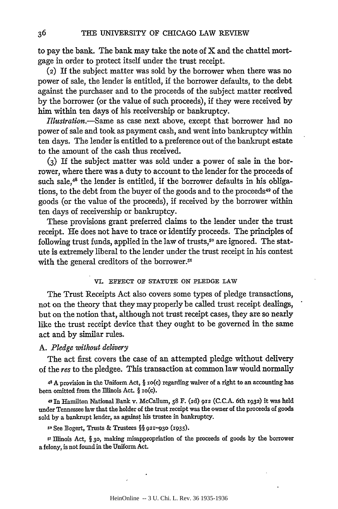to pay the bank. The bank may take the note of X and the chattel mortgage in order to protect itself under the trust receipt.

(2) If the subject matter was sold by the borrower when there was no power of sale, the lender is entitled, if the borrower defaults, to the debt against the purchaser and to the proceeds of the subject matter received by the borrower (or the value of such proceeds), if they were received by him within ten days of his receivership or bankruptcy.

*Illustration.-Same* as case next above, except that borrower had no power of sale and took as payment cash, and went into bankruptcy within ten days. The lender is entitled to a preference out of the bankrupt estate to the amount of the cash thus received.

**(3)** If the subject matter was sold under a power of sale in the borrower, where there was a duty to account to the lender for the proceeds of such sale, $4^8$  the lender is entitled, if the borrower defaults in his obligations, to the debt from the buyer of the goods and to the proceeds<sup>49</sup> of the goods (or the value of the proceeds), if received by the borrower within ten days of receivership or bankruptcy.

These provisions grant preferred claims to the lender under the trust receipt. He does not have to trace or identify proceeds. The principles of following trust funds, applied in the law of trusts,<sup>50</sup> are ignored. The statute is extremely liberal to the lender under the trust receipt in his contest with the general creditors of the borrower.<sup>51</sup>

#### VI. **EFFECT** OF **STATUTE** ON PLEDGE LAW

The Trust Receipts Act also covers some types of pledge transactions, not on the theory that they may properly be called trust receipt dealings, but on the notion that, although not trust receipt cases, they are so nearly like the trust receipt device that they ought to be governed in the same act and by similar rules.

#### *A. Pledge without delivery*

The act first covers the case of an attempted pledge without delivery of the *res* to the pledgee. This transaction at common law would normally

48 A provision in the Uniform Act, § io(c) regarding waiver of a right to an accounting has been omitted from the Illinois Act. § io(c).

49 In Hamilton National Bank v. McCallum, 58 F. (2d) **912** (C.C.A. 6th **1932)** it was held under Tennessee law that the holder of the trust receipt was the owner of the proceeds of goods sold **by** a bankrupt lender, as against his trustee in bankruptcy.

*so* See Bogert, Trusts & Trustees §§ **921-930 (X935).**

*s'* Illinois Act, § **30,** making misappropriation of the proceeds of goods **by** the borrower a felony, is not found in the Uniform Act.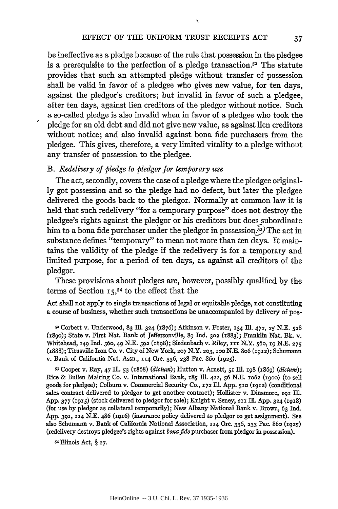ť

be ineffective as a pledge because of the rule that possession in the pledgee is a prerequisite to the perfection of a pledge transaction.<sup>52</sup> The statute provides that such an attempted pledge without transfer of possession shall be valid in favor of a pledgee who gives new value, for ten days, against the pledgor's creditors; but invalid in favor of such a pledgee, after ten days, against lien creditors of the pledgor without notice. Such a so-called pledge is also invalid when in favor of a pledgee who took the pledge for an old debt and did not give new value, as against lien creditors without notice; and also invalid against bona fide purchasers from the pledgee. This gives, therefore, a very limited vitality to a pledge without any transfer of possession to the pledgee.

## *B. Redelivery of pledge to pledgor for temporary use*

The act, secondly, covers the case of a pledge where the pledgee originally got possession and so the pledge had no defect, but later the pledgee delivered the goods back to the pledgor. Normally at common law it is held that such redelivery "for a temporary purpose" does not destroy the pledgee's rights against the pledgor or his creditors but does subordinate him to a bona fide purchaser under the pledgor in possession.<sup>53</sup>) The act in substance defines "temporary" to mean not more than ten days. It maintains the validity of the pledge if the redelivery is for a temporary and limited purpose, for a period of ten days, as against all creditors of the pledgor.

These provisions about pledges are, however, possibly qualified by the terms of Section **15,54** to the effect that the

Act shall not apply to single transactions of legal or equitable pledge, not constituting a course of business, whether such transactions be unaccompanied by delivery of pos-

*s'* Corbett v. Underwood, 83 lL 324 (1876); Atkinson v. Foster, 134 I2. 472, 25 N.E. **528** (i8go); State v. First Nat. Bank of Jeffersonville, 89 Ind. **302** (1883); Franklin Nat. Bk. v. Whitehead, 149 Ind. 560, 49 N.E. **592** (1898); Siedenbach v. Riley, **iii** N.Y. 56o, **ig** N.E. **<sup>275</sup>** (1888); Titusville Iron Co. v. City of New York, **207** N.Y. **203, oo** N.E. 8o6 (1912); Schumann v. Bank of California Nat. Assn., **IX4** Ore. 336, **238** Pac. 86o (1925).

*s3* Cooper v. Ray, 47 Ill. 53 (i868) *(dictum);* Hutton v. Arnett, 51 InI. 198 (i869) *(dictum);* Rice & Bullen Malting Co. v. International Bank, **185** Ill. 422, **56** N.E. **1o62** (xgoo) (to sell goods for pledgee); Colburn v. Commercial Security Co., **172** In. App. 5zo (1912) (conditional sales contract delivered to pledgor to get another contract); Hollister v. Dinsmore, **z91** Ill. App. 377 (1915) (stock delivered to pledgor for sale); Knight v. Seney, **211 Ill.** App. 324 (1918) (for use by pledgor as collateral temporarily); New Albany National Bank v. Brown, 63 Ind. App. 391, 114 N.E. 486 (1916) (insurance policy delivered to pledgor to get assignment). See also Schumann v. Bank of California National Association, **114** Ore. 336, **233** Pac. 86o (1925) (redelivery destroys pledgee's rights against *bonafide* purchaser from pledgor in possession).

*S4* Illinois Act, § **27.**

37